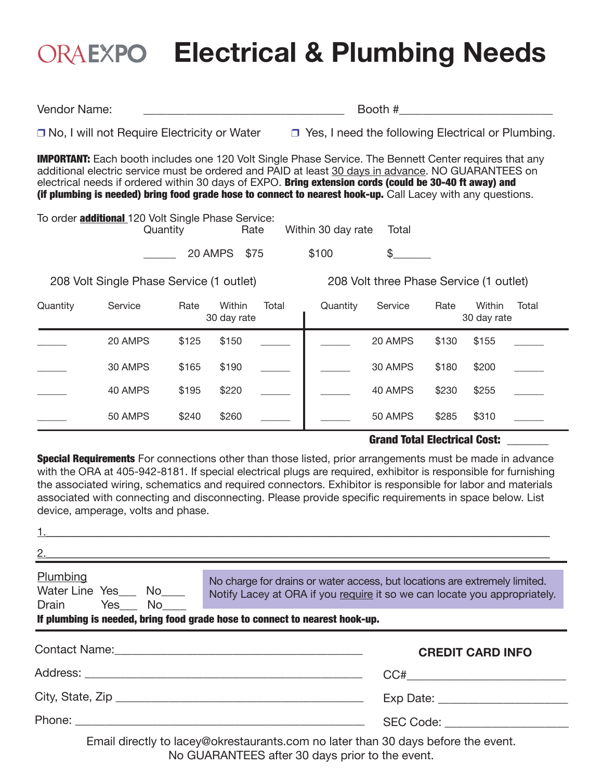# **Electrical & Plumbing Needs**

Vendor Name:  $\Box$  Booth #

 $\Box$  No, I will not Require Electricity or Water  $\Box$  Yes, I need the following Electrical or Plumbing.

**IMPORTANT:** Each booth includes one 120 Volt Single Phase Service. The Bennett Center requires that any additional electric service must be ordered and PAID at least 30 days in advance. NO GUARANTEES on electrical needs if ordered within 30 days of EXPO. Bring extension cords (could be 30-40 ft away) and (if plumbing is needed) bring food grade hose to connect to nearest hook-up. Call Lacey with any questions.

To order **additional** 120 Volt Single Phase Service:<br>Quantity **Rate** Within 30 day rate Total

\_\_\_\_\_\_ 20 AMPS \$75 \$100 \$\_\_\_\_\_\_\_

208 Volt Single Phase Service (1 outlet) 208 Volt three Phase Service (1 outlet)

| Quantity | Service | Rate  | Within<br>30 day rate | Total | Quantity | Service | Rate  | Within<br>30 day rate | Total |
|----------|---------|-------|-----------------------|-------|----------|---------|-------|-----------------------|-------|
|          | 20 AMPS | \$125 | \$150                 |       |          | 20 AMPS | \$130 | \$155                 |       |
|          | 30 AMPS | \$165 | \$190                 |       |          | 30 AMPS | \$180 | \$200                 |       |
|          | 40 AMPS | \$195 | \$220                 |       |          | 40 AMPS | \$230 | \$255                 |       |
|          | 50 AMPS | \$240 | \$260                 |       |          | 50 AMPS | \$285 | \$310                 |       |

### Grand Total Electrical Cost: \_\_\_\_\_\_\_

**Special Requirements** For connections other than those listed, prior arrangements must be made in advance with the ORA at 405-942-8181. If special electrical plugs are required, exhibitor is responsible for furnishing the associated wiring, schematics and required connectors. Exhibitor is responsible for labor and materials associated with connecting and disconnecting. Please provide specific requirements in space below. List device, amperage, volts and phase.

|                                                                             | $1.$ $\blacksquare$ |                                          |                                                                                                                 |                                                                                                                                                         |
|-----------------------------------------------------------------------------|---------------------|------------------------------------------|-----------------------------------------------------------------------------------------------------------------|---------------------------------------------------------------------------------------------------------------------------------------------------------|
|                                                                             |                     |                                          |                                                                                                                 |                                                                                                                                                         |
| Plumbing                                                                    |                     | Water Line Yes___ No____<br>Drain Yes No |                                                                                                                 | No charge for drains or water access, but locations are extremely limited.<br>Notify Lacey at ORA if you require it so we can locate you appropriately. |
| If plumbing is needed, bring food grade hose to connect to nearest hook-up. |                     |                                          |                                                                                                                 |                                                                                                                                                         |
|                                                                             |                     |                                          | Contact Name: 2008 2009 2010 2020 2021 2022 2023 2024 2022 2022 2023 2024 2022 2023 2024 2022 2023 2024 2022 20 | <b>CREDIT CARD INFO</b>                                                                                                                                 |
|                                                                             |                     |                                          |                                                                                                                 |                                                                                                                                                         |
|                                                                             |                     |                                          | Exp Date: <u>______________________</u>                                                                         |                                                                                                                                                         |
|                                                                             |                     |                                          | SEC Code: <u>_______________</u>                                                                                |                                                                                                                                                         |
|                                                                             |                     |                                          | Email directly to lacey@okrestaurants.com no later than 30 days before the event.                               |                                                                                                                                                         |

No GUARANTEES after 30 days prior to the event.